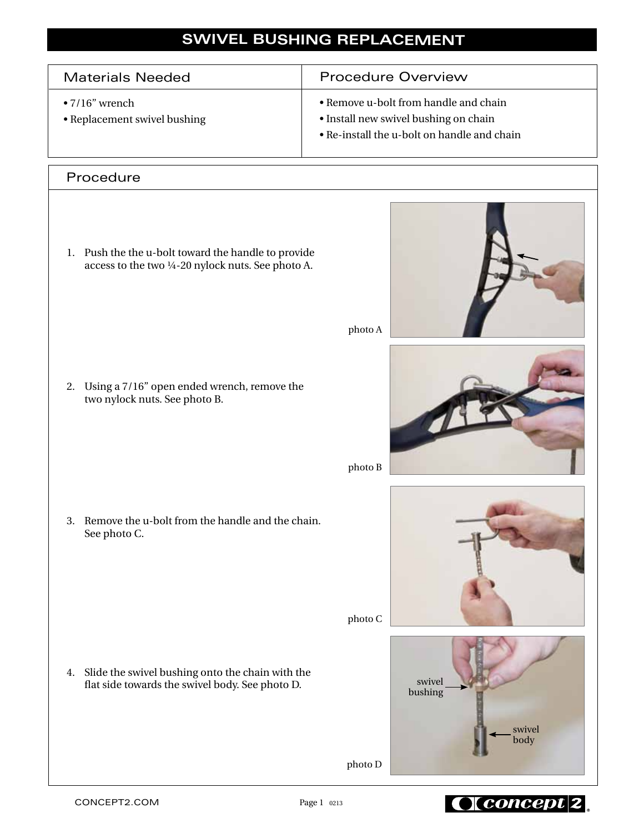## **SWIVEL BUSHING REPLACEMENT**

| <b>Materials Needed</b>                                | <b>Procedure Overview</b>                                                                                                     |
|--------------------------------------------------------|-------------------------------------------------------------------------------------------------------------------------------|
| $\bullet$ 7/16" wrench<br>• Replacement swivel bushing | • Remove u-bolt from handle and chain<br>• Install new swivel bushing on chain<br>• Re-install the u-bolt on handle and chain |

## Procedure

1. Push the the u-bolt toward the handle to provide access to the two ¼-20 nylock nuts. See photo A.

2. Using a 7/16" open ended wrench, remove the two nylock nuts. See photo B.

3. Remove the u-bolt from the handle and the chain. See photo C.

4. Slide the swivel bushing onto the chain with the flat side towards the swivel body. See photo D.



photo A



photo B